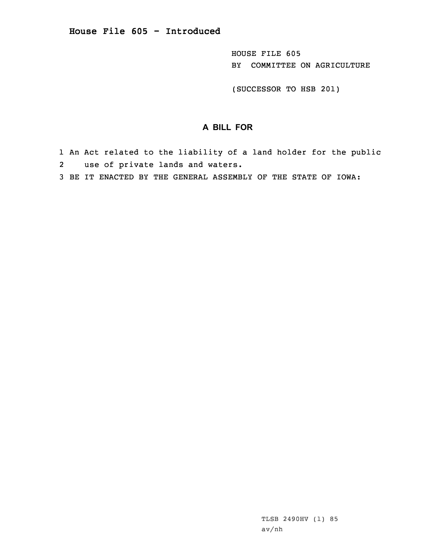HOUSE FILE 605 BY COMMITTEE ON AGRICULTURE

(SUCCESSOR TO HSB 201)

## **A BILL FOR**

1 An Act related to the liability of <sup>a</sup> land holder for the public 2 use of private lands and waters.

3 BE IT ENACTED BY THE GENERAL ASSEMBLY OF THE STATE OF IOWA: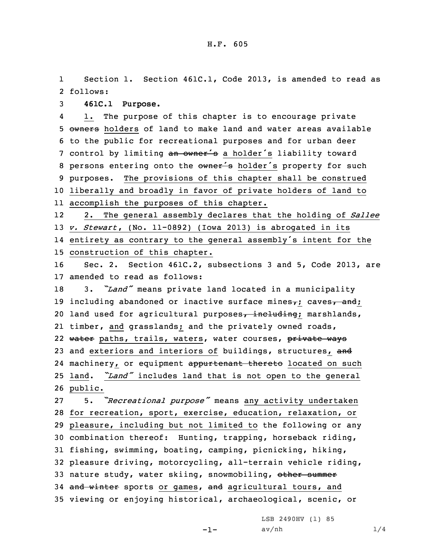1 Section 1. Section 461C.1, Code 2013, is amended to read as 2 follows:

3 **461C.1 Purpose.**

4 1. The purpose of this chapter is to encourage private 5 owners holders of land to make land and water areas available 6 to the public for recreational purposes and for urban deer 7 control by limiting an owner's a holder's liability toward 8 persons entering onto the owner's holder's property for such 9 purposes. The provisions of this chapter shall be construed 10 liberally and broadly in favor of private holders of land to 11 accomplish the purposes of this chapter.

12 2. The general assembly declares that the holding of *Sallee* 13 *v. Stewart*, (No. 11-0892) (Iowa 2013) is abrogated in its 14 entirety as contrary to the general assembly's intent for the 15 construction of this chapter.

16 Sec. 2. Section 461C.2, subsections 3 and 5, Code 2013, are 17 amended to read as follows:

<sup>18</sup> 3. *"Land"* means private land located in <sup>a</sup> municipality 19 including abandoned or inactive surface mines $\tau$ ; caves $\tau$  and; 20 land used for agricultural purposes, including; marshlands, 21 timber, and grasslands; and the privately owned roads, 22 water paths, trails, waters, water courses, private ways 23 and exteriors and interiors of buildings, structures, and 24 machinery, or equipment appurtenant thereto located on such <sup>25</sup> land. *"Land"* includes land that is not open to the general 26 public.

 5. *"Recreational purpose"* means any activity undertaken for recreation, sport, exercise, education, relaxation, or pleasure, including but not limited to the following or any combination thereof: Hunting, trapping, horseback riding, fishing, swimming, boating, camping, picnicking, hiking, pleasure driving, motorcycling, all-terrain vehicle riding, 33 nature study, water skiing, snowmobiling, other summer 34 and winter sports or games, and agricultural tours, and viewing or enjoying historical, archaeological, scenic, or

LSB 2490HV (1) 85

-1-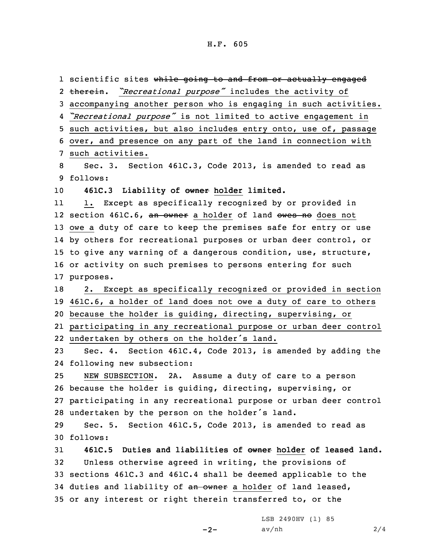1 scientific sites wh<del>ile going to and from or actually engaged</del> 2 therein. "Recreational purpose" includes the activity of accompanying another person who is engaging in such activities. *"Recreational purpose"* is not limited to active engagement in such activities, but also includes entry onto, use of, passage over, and presence on any part of the land in connection with such activities. Sec. 3. Section 461C.3, Code 2013, is amended to read as 9 follows: **461C.3 Liability of owner holder limited.** 11 1. Except as specifically recognized by or provided in 12 section 461C.6, <del>an owner</del> a holder of land <del>owes no</del> does not owe <sup>a</sup> duty of care to keep the premises safe for entry or use by others for recreational purposes or urban deer control, or to give any warning of <sup>a</sup> dangerous condition, use, structure, or activity on such premises to persons entering for such purposes. 2. Except as specifically recognized or provided in section 461C.6, <sup>a</sup> holder of land does not owe <sup>a</sup> duty of care to others because the holder is guiding, directing, supervising, or participating in any recreational purpose or urban deer control undertaken by others on the holder's land. Sec. 4. Section 461C.4, Code 2013, is amended by adding the following new subsection: NEW SUBSECTION. 2A. Assume <sup>a</sup> duty of care to <sup>a</sup> person because the holder is guiding, directing, supervising, or participating in any recreational purpose or urban deer control undertaken by the person on the holder's land. Sec. 5. Section 461C.5, Code 2013, is amended to read as 30 follows: **461C.5 Duties and liabilities of owner holder of leased land.** Unless otherwise agreed in writing, the provisions of sections 461C.3 and 461C.4 shall be deemed applicable to the 34 duties and liability of an owner a holder of land leased, or any interest or right therein transferred to, or the

 $-2-$ 

LSB 2490HV (1) 85  $av/nh$  2/4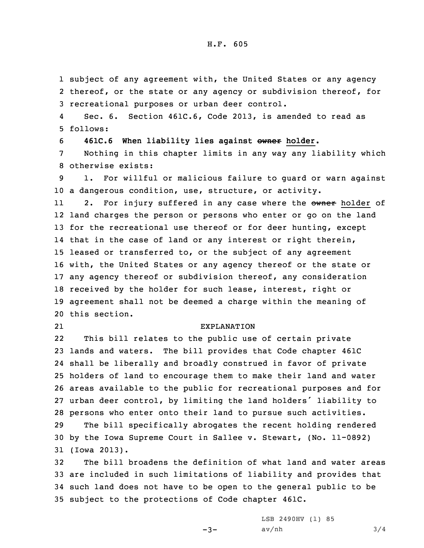## H.F. 605

1 subject of any agreement with, the United States or any agency 2 thereof, or the state or any agency or subdivision thereof, for 3 recreational purposes or urban deer control.

4 Sec. 6. Section 461C.6, Code 2013, is amended to read as 5 follows:

6 **461C.6 When liability lies against owner holder.**

7 Nothing in this chapter limits in any way any liability which 8 otherwise exists:

9 1. For willful or malicious failure to guard or warn against 10 <sup>a</sup> dangerous condition, use, structure, or activity.

112. For injury suffered in any case where the owner holder of land charges the person or persons who enter or go on the land 13 for the recreational use thereof or for deer hunting, except that in the case of land or any interest or right therein, leased or transferred to, or the subject of any agreement with, the United States or any agency thereof or the state or any agency thereof or subdivision thereof, any consideration received by the holder for such lease, interest, right or agreement shall not be deemed <sup>a</sup> charge within the meaning of this section.

21

## EXPLANATION

22 This bill relates to the public use of certain private lands and waters. The bill provides that Code chapter 461C shall be liberally and broadly construed in favor of private holders of land to encourage them to make their land and water areas available to the public for recreational purposes and for urban deer control, by limiting the land holders' liability to persons who enter onto their land to pursue such activities.

29 The bill specifically abrogates the recent holding rendered 30 by the Iowa Supreme Court in Sallee v. Stewart, (No. 11-0892) 31 (Iowa 2013).

 The bill broadens the definition of what land and water areas are included in such limitations of liability and provides that such land does not have to be open to the general public to be subject to the protections of Code chapter 461C.

 $-3-$ 

LSB 2490HV (1) 85  $av/nh$  3/4